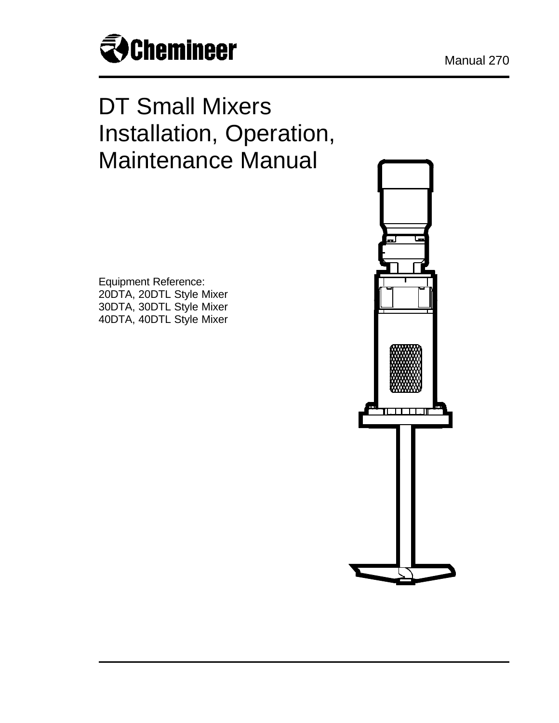

# DT Small Mixers Installation, Operation, Maintenance Manual

Equipment Reference: 20DTA, 20DTL Style Mixer 30DTA, 30DTL Style Mixer 40DTA, 40DTL Style Mixer

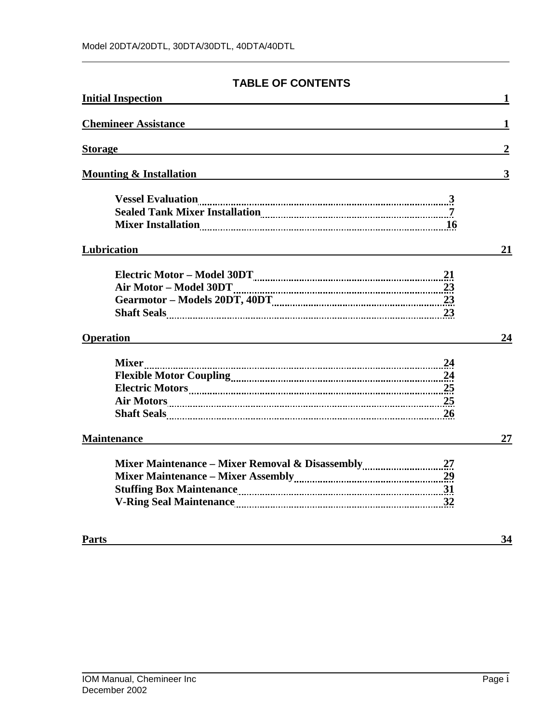# **TABLE OF CONTENTS**

| <b>Initial Inspection</b>          | 1                |
|------------------------------------|------------------|
| <b>Chemineer Assistance</b>        | 1                |
| <b>Storage</b>                     | $\boldsymbol{2}$ |
| <b>Mounting &amp; Installation</b> | 3                |
|                                    |                  |
| Lubrication                        | 21               |
|                                    |                  |
| <b>Operation</b>                   | 24               |
| Air Motors 25<br><b>26</b>         |                  |
| <b>Maintenance</b>                 | 27               |
|                                    |                  |
| <b>Parts</b>                       | 34               |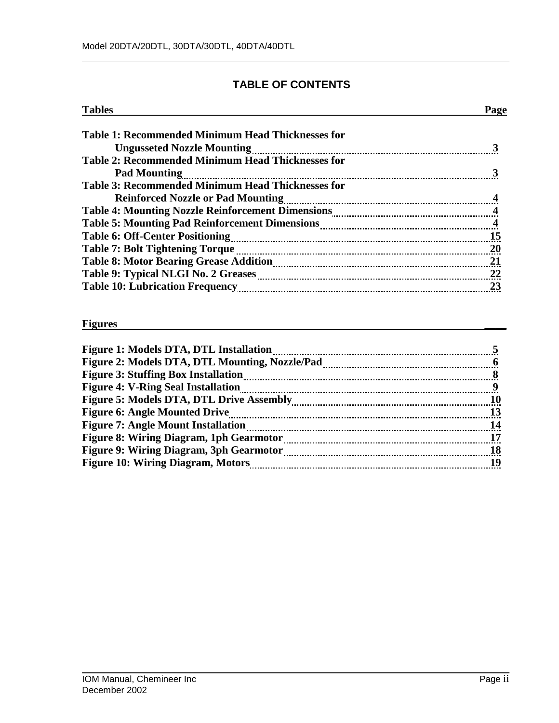# **TABLE OF CONTENTS**

| <b>Tables</b>                                            | Page |
|----------------------------------------------------------|------|
| Table 1: Recommended Minimum Head Thicknesses for        |      |
| <b>Ungusseted Nozzle Mounting</b>                        |      |
| <b>Table 2: Recommended Minimum Head Thicknesses for</b> |      |
| <b>Pad Mounting</b>                                      |      |
| <b>Table 3: Recommended Minimum Head Thicknesses for</b> |      |
| <b>Reinforced Nozzle or Pad Mounting</b>                 |      |
|                                                          |      |
|                                                          |      |
|                                                          | 15   |
|                                                          | - 20 |
|                                                          | 21   |
|                                                          |      |
|                                                          | 23   |

#### **Figures \_\_\_\_**

| Figure 2: Models DTA, DTL Mounting, Nozzle/Pad manufacture and manufacture of the Models DTA, DTL Mounting, Nozzle/Pad<br><b>Figure 3: Stuffing Box Installation</b><br><b>Figure 4: V-Ring Seal Installation</b> |
|-------------------------------------------------------------------------------------------------------------------------------------------------------------------------------------------------------------------|
|                                                                                                                                                                                                                   |
|                                                                                                                                                                                                                   |
|                                                                                                                                                                                                                   |
| Figure 5: Models DTA, DTL Drive Assembly<br><b>10</b>                                                                                                                                                             |
| <b>Figure 6: Angle Mounted Drive</b><br>13                                                                                                                                                                        |
| -14                                                                                                                                                                                                               |
| <b>Figure 8: Wiring Diagram, 1ph Gearmotor</b>                                                                                                                                                                    |
| <b>Figure 9: Wiring Diagram, 3ph Gearmotor</b><br>18                                                                                                                                                              |
| <b>Figure 10: Wiring Diagram, Motors</b>                                                                                                                                                                          |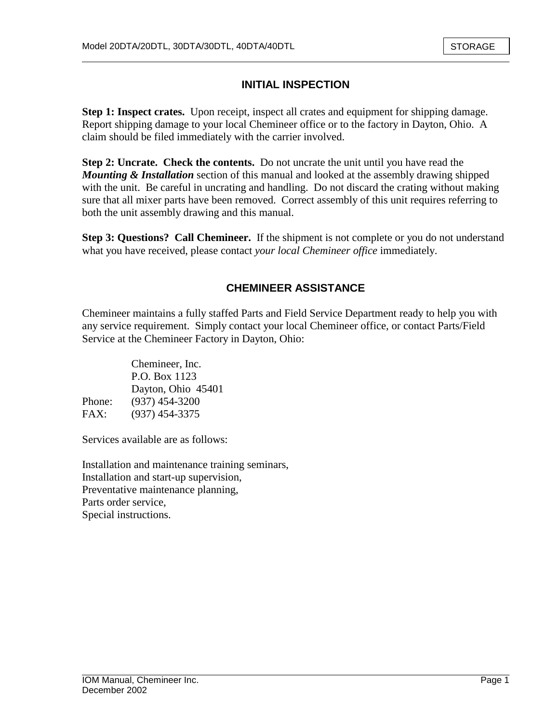# **INITIAL INSPECTION**

**Step 1: Inspect crates.** Upon receipt, inspect all crates and equipment for shipping damage. Report shipping damage to your local Chemineer office or to the factory in Dayton, Ohio. A claim should be filed immediately with the carrier involved.

**Step 2: Uncrate. Check the contents.** Do not uncrate the unit until you have read the *Mounting & Installation* section of this manual and looked at the assembly drawing shipped with the unit. Be careful in uncrating and handling. Do not discard the crating without making sure that all mixer parts have been removed. Correct assembly of this unit requires referring to both the unit assembly drawing and this manual.

**Step 3: Questions? Call Chemineer.** If the shipment is not complete or you do not understand what you have received, please contact *your local Chemineer office* immediately.

# **CHEMINEER ASSISTANCE**

Chemineer maintains a fully staffed Parts and Field Service Department ready to help you with any service requirement. Simply contact your local Chemineer office, or contact Parts/Field Service at the Chemineer Factory in Dayton, Ohio:

|        | Chemineer, Inc.    |
|--------|--------------------|
|        | P.O. Box 1123      |
|        | Dayton, Ohio 45401 |
| Phone: | $(937)$ 454-3200   |
| FAX:   | $(937)$ 454-3375   |

Services available are as follows:

Installation and maintenance training seminars, Installation and start-up supervision, Preventative maintenance planning, Parts order service, Special instructions.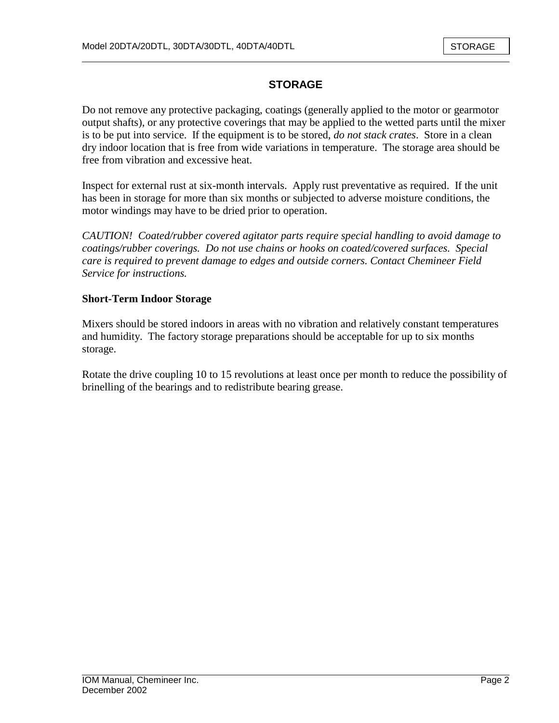# **STORAGE**

Do not remove any protective packaging, coatings (generally applied to the motor or gearmotor output shafts), or any protective coverings that may be applied to the wetted parts until the mixer is to be put into service. If the equipment is to be stored, *do not stack crates*. Store in a clean dry indoor location that is free from wide variations in temperature. The storage area should be free from vibration and excessive heat.

Inspect for external rust at six-month intervals. Apply rust preventative as required. If the unit has been in storage for more than six months or subjected to adverse moisture conditions, the motor windings may have to be dried prior to operation.

*CAUTION! Coated/rubber covered agitator parts require special handling to avoid damage to coatings/rubber coverings. Do not use chains or hooks on coated/covered surfaces. Special care is required to prevent damage to edges and outside corners. Contact Chemineer Field Service for instructions.* 

#### **Short-Term Indoor Storage**

Mixers should be stored indoors in areas with no vibration and relatively constant temperatures and humidity. The factory storage preparations should be acceptable for up to six months storage.

Rotate the drive coupling 10 to 15 revolutions at least once per month to reduce the possibility of brinelling of the bearings and to redistribute bearing grease.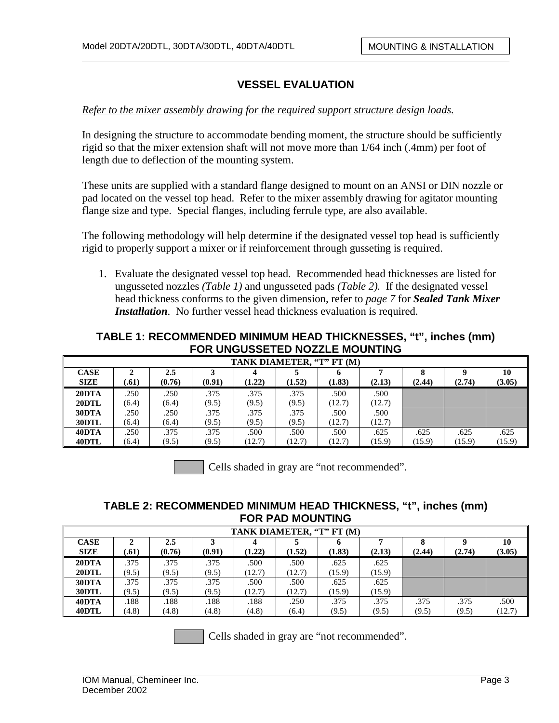#### *Refer to the mixer assembly drawing for the required support structure design loads.*

In designing the structure to accommodate bending moment, the structure should be sufficiently rigid so that the mixer extension shaft will not move more than 1/64 inch (.4mm) per foot of length due to deflection of the mounting system.

These units are supplied with a standard flange designed to mount on an ANSI or DIN nozzle or pad located on the vessel top head. Refer to the mixer assembly drawing for agitator mounting flange size and type. Special flanges, including ferrule type, are also available.

The following methodology will help determine if the designated vessel top head is sufficiently rigid to properly support a mixer or if reinforcement through gusseting is required.

1. Evaluate the designated vessel top head. Recommended head thicknesses are listed for ungusseted nozzles *(Table 1)* and ungusseted pads *(Table 2).* If the designated vessel head thickness conforms to the given dimension, refer to *page 7* for *Sealed Tank Mixer Installation*. No further vessel head thickness evaluation is required.

### **TABLE 1: RECOMMENDED MINIMUM HEAD THICKNESSES, "t", inches (mm) FOR UNGUSSETED NOZZLE MOUNTING**

|                            | TANK DIAMETER, "T" FT (M) |               |               |                |                |                |                |                |                |                |
|----------------------------|---------------------------|---------------|---------------|----------------|----------------|----------------|----------------|----------------|----------------|----------------|
| <b>CASE</b><br><b>SIZE</b> | .61)                      | 2.5<br>(0.76) | (0.91)        | (1.22)         | (1.52)         | (1.83)         | (2.13)         | (2.44)         | (2.74)         | 10<br>(3.05)   |
| 20DTA<br>20DTL             | .250<br>(6.4)             | .250<br>(6.4) | .375<br>(9.5) | .375<br>(9.5)  | .375<br>(9.5)  | .500<br>(12.7) | .500<br>(12.7) |                |                |                |
| 30DTA<br>30DTL             | .250<br>(6.4)             | .250<br>(6.4) | .375<br>(9.5) | .375<br>(9.5)  | .375<br>(9.5)  | .500<br>(12.7) | .500<br>(12.7) |                |                |                |
| 40DTA<br>40DTL             | .250<br>(6.4)             | .375<br>(9.5) | .375<br>(9.5) | .500<br>(12.7) | .500<br>(12.7) | .500<br>(12.7) | .625<br>(15.9) | .625<br>(15.9) | .625<br>(15.9) | .625<br>(15.9) |

Cells shaded in gray are "not recommended".

#### **TABLE 2: RECOMMENDED MINIMUM HEAD THICKNESS, "t", inches (mm) FOR PAD MOUNTING**

| TANK DIAMETER, "T" FT (M)  |       |               |        |        |        |             |        |        |        |              |
|----------------------------|-------|---------------|--------|--------|--------|-------------|--------|--------|--------|--------------|
| <b>CASE</b><br><b>SIZE</b> | .61)  | 2.5<br>(0.76) | (0.91) | (1.22) | (1.52) | o<br>(1.83) | (2.13) | (2.44) | (2.74) | 10<br>(3.05) |
| 20DTA                      | .375  | .375          | .375   | .500   | .500   | .625        | .625   |        |        |              |
| 20DTL                      | (9.5) | (9.5)         | (9.5)  | (12.7) | (12.7) | (15.9)      | (15.9) |        |        |              |
| 30DTA                      | .375  | .375          | .375   | .500   | .500   | .625        | .625   |        |        |              |
| 30DTL                      | (9.5) | (9.5)         | (9.5)  | (12.7) | (12.7) | (15.9)      | (15.9) |        |        |              |
| 40DTA                      | .188  | .188          | .188   | .188   | .250   | .375        | .375   | .375   | .375   | .500         |
| 40DTL                      | (4.8) | (4.8)         | (4.8)  | (4.8)  | (6.4)  | (9.5)       | (9.5)  | (9.5)  | (9.5)  | (12.7)       |

Cells shaded in gray are "not recommended".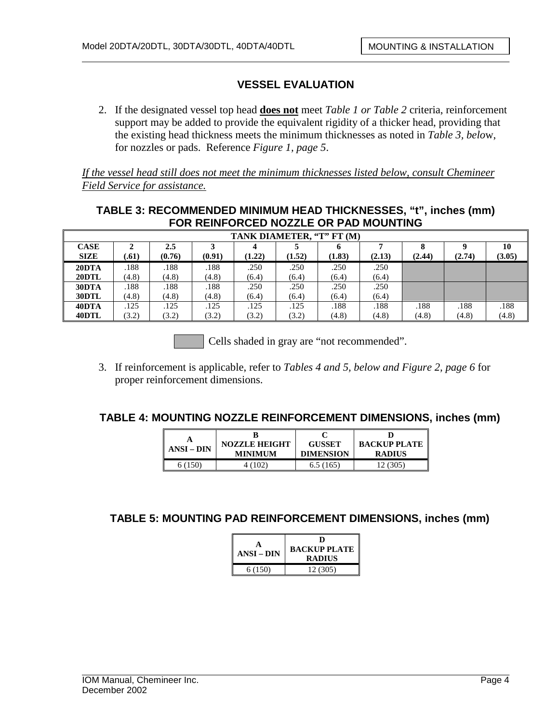2. If the designated vessel top head **does not** meet *Table 1 or Table 2* criteria, reinforcement support may be added to provide the equivalent rigidity of a thicker head, providing that the existing head thickness meets the minimum thicknesses as noted in *Table 3, belo*w, for nozzles or pads. Reference *Figure 1, page 5*.

*If the vessel head still does not meet the minimum thicknesses listed below, consult Chemineer Field Service for assistance.*

# **TABLE 3: RECOMMENDED MINIMUM HEAD THICKNESSES, "t", inches (mm) FOR REINFORCED NOZZLE OR PAD MOUNTING**

|             | TANK DIAMETER. "T" FT (M) |        |        |        |        |        |        |        |        |        |
|-------------|---------------------------|--------|--------|--------|--------|--------|--------|--------|--------|--------|
| <b>CASE</b> |                           | 2.5    |        |        |        | o      |        |        |        | 10     |
| <b>SIZE</b> | .61)                      | (0.76) | (0.91) | (1.22) | (1.52) | (1.83) | (2.13) | (2.44) | (2.74) | (3.05) |
| 20DTA       | .188                      | .188   | .188   | .250   | .250   | .250   | .250   |        |        |        |
| 20DTL       | (4.8)                     | (4.8)  | (4.8)  | (6.4)  | (6.4)  | (6.4)  | (6.4)  |        |        |        |
| 30DTA       | .188                      | .188   | .188   | .250   | .250   | .250   | .250   |        |        |        |
| 30DTL       | (4.8)                     | (4.8)  | (4.8)  | (6.4)  | (6.4)  | (6.4)  | (6.4)  |        |        |        |
| 40DTA       | .125                      | .125   | .125   | .125   | .125   | .188   | .188   | .188   | .188   | .188   |
| 40DTL       | (3.2)                     | (3.2)  | (3.2)  | (3.2)  | (3.2)  | (4.8)  | (4.8)  | (4.8)  | (4.8)  | (4.8)  |

Cells shaded in gray are "not recommended".

3. If reinforcement is applicable, refer to *Tables 4 and 5, below and Figure 2, page 6* for proper reinforcement dimensions.

#### **TABLE 4: MOUNTING NOZZLE REINFORCEMENT DIMENSIONS, inches (mm)**

| ANSI – DIN | <b>NOZZLE HEIGHT</b> | <b>GUSSET</b>    | <b>BACKUP PLATE</b> |  |  |
|------------|----------------------|------------------|---------------------|--|--|
|            | MINIMUM              | <b>DIMENSION</b> | <b>RADIUS</b>       |  |  |
| 6 (150)    | 4 (102)              | 6.5(165)         | .2 (305)            |  |  |

**TABLE 5: MOUNTING PAD REINFORCEMENT DIMENSIONS, inches (mm)**

| ANSI – DIN | D<br><b>BACKUP PLATE</b><br><b>RADIUS</b> |
|------------|-------------------------------------------|
| 6 (150)    | 12 (305)                                  |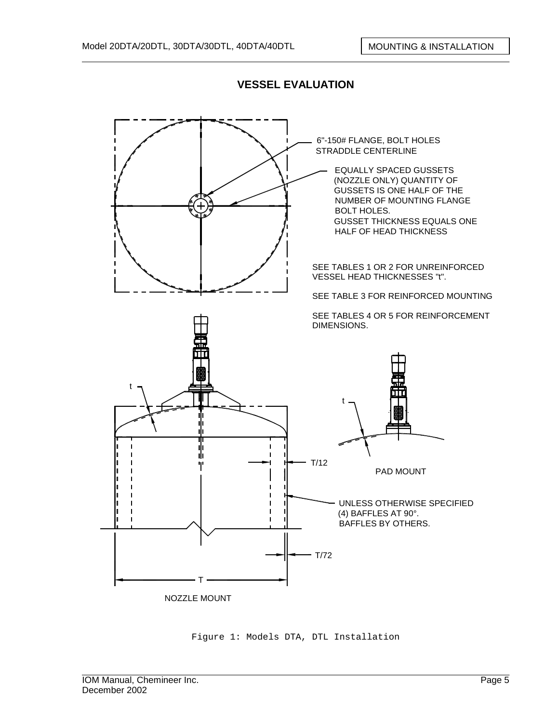

Figure 1: Models DTA, DTL Installation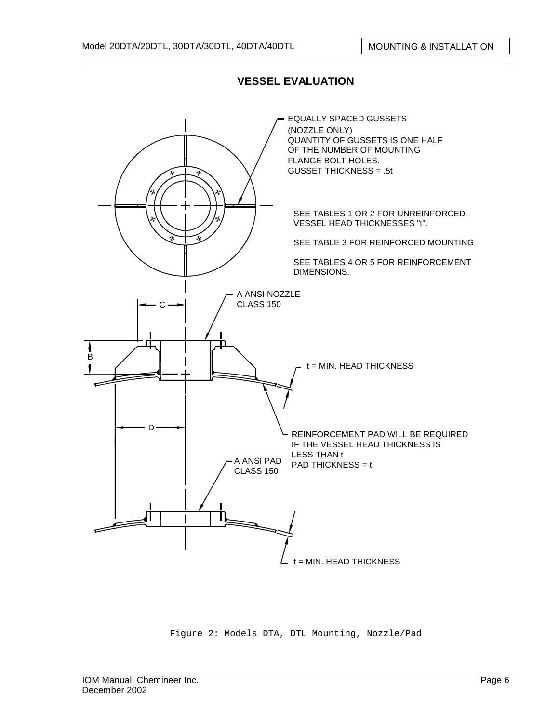

Figure 2: Models DTA, DTL Mounting, Nozzle/Pad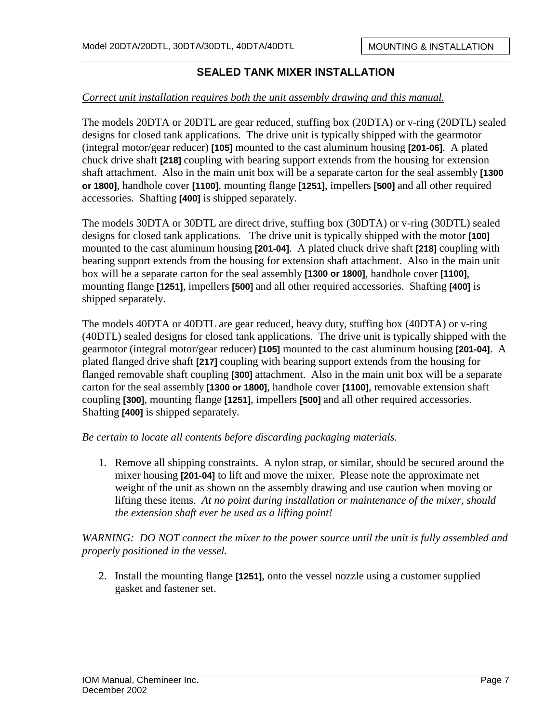#### *Correct unit installation requires both the unit assembly drawing and this manual.*

The models 20DTA or 20DTL are gear reduced, stuffing box (20DTA) or v-ring (20DTL) sealed designs for closed tank applications. The drive unit is typically shipped with the gearmotor (integral motor/gear reducer) **[105]** mounted to the cast aluminum housing **[201-06]**. A plated chuck drive shaft **[218]** coupling with bearing support extends from the housing for extension shaft attachment. Also in the main unit box will be a separate carton for the seal assembly **[1300 or 1800]**, handhole cover **[1100]**, mounting flange **[1251]**, impellers **[500]** and all other required accessories. Shafting **[400]** is shipped separately.

The models 30DTA or 30DTL are direct drive, stuffing box (30DTA) or v-ring (30DTL) sealed designs for closed tank applications. The drive unit is typically shipped with the motor **[100]** mounted to the cast aluminum housing **[201-04]**. A plated chuck drive shaft **[218]** coupling with bearing support extends from the housing for extension shaft attachment. Also in the main unit box will be a separate carton for the seal assembly **[1300 or 1800]**, handhole cover **[1100]**, mounting flange **[1251]**, impellers **[500]** and all other required accessories. Shafting **[400]** is shipped separately.

The models 40DTA or 40DTL are gear reduced, heavy duty, stuffing box (40DTA) or v-ring (40DTL) sealed designs for closed tank applications. The drive unit is typically shipped with the gearmotor (integral motor/gear reducer) **[105]** mounted to the cast aluminum housing **[201-04]**. A plated flanged drive shaft **[217]** coupling with bearing support extends from the housing for flanged removable shaft coupling **[300]** attachment. Also in the main unit box will be a separate carton for the seal assembly **[1300 or 1800]**, handhole cover **[1100]**, removable extension shaft coupling **[300]**, mounting flange **[1251]**, impellers **[500]** and all other required accessories. Shafting **[400]** is shipped separately.

*Be certain to locate all contents before discarding packaging materials.* 

1. Remove all shipping constraints. A nylon strap, or similar, should be secured around the mixer housing **[201-04]** to lift and move the mixer. Please note the approximate net weight of the unit as shown on the assembly drawing and use caution when moving or lifting these items. *At no point during installation or maintenance of the mixer, should the extension shaft ever be used as a lifting point!*

*WARNING: DO NOT connect the mixer to the power source until the unit is fully assembled and properly positioned in the vessel.* 

2. Install the mounting flange **[1251]**, onto the vessel nozzle using a customer supplied gasket and fastener set.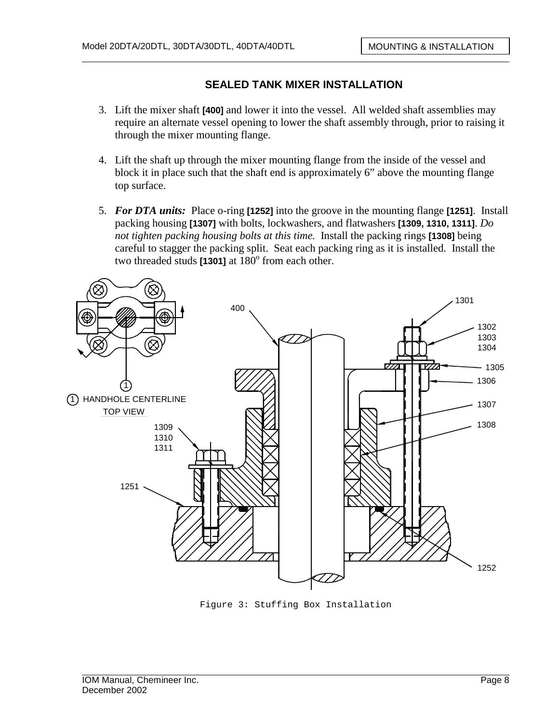- 3. Lift the mixer shaft **[400]** and lower it into the vessel. All welded shaft assemblies may require an alternate vessel opening to lower the shaft assembly through, prior to raising it through the mixer mounting flange.
- 4. Lift the shaft up through the mixer mounting flange from the inside of the vessel and block it in place such that the shaft end is approximately 6" above the mounting flange top surface.
- 5. *For DTA units:* Place o-ring **[1252]** into the groove in the mounting flange **[1251]**. Install packing housing **[1307]** with bolts, lockwashers, and flatwashers **[1309, 1310, 1311]**. *Do not tighten packing housing bolts at this time.* Install the packing rings **[1308]** being careful to stagger the packing split. Seat each packing ring as it is installed. Install the two threaded studs  $[1301]$  at  $180^\circ$  from each other.



Figure 3: Stuffing Box Installation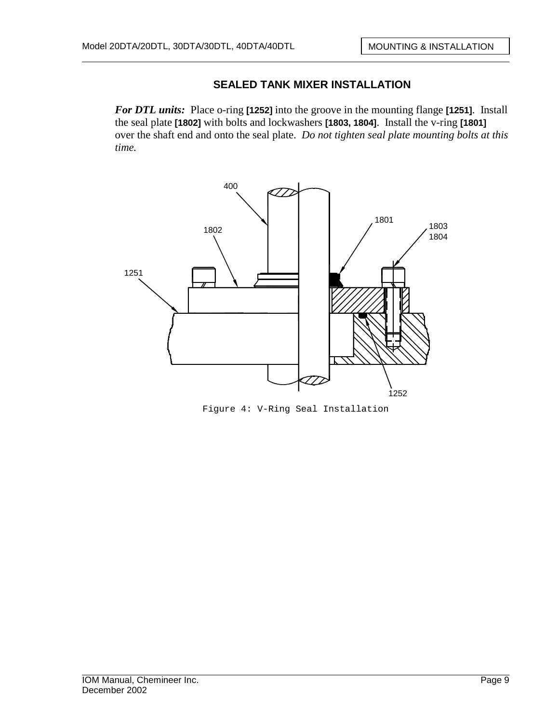*For DTL units:* Place o-ring **[1252]** into the groove in the mounting flange **[1251]**. Install the seal plate **[1802]** with bolts and lockwashers **[1803, 1804]**. Install the v-ring **[1801]**  over the shaft end and onto the seal plate. *Do not tighten seal plate mounting bolts at this time.*



Figure 4: V-Ring Seal Installation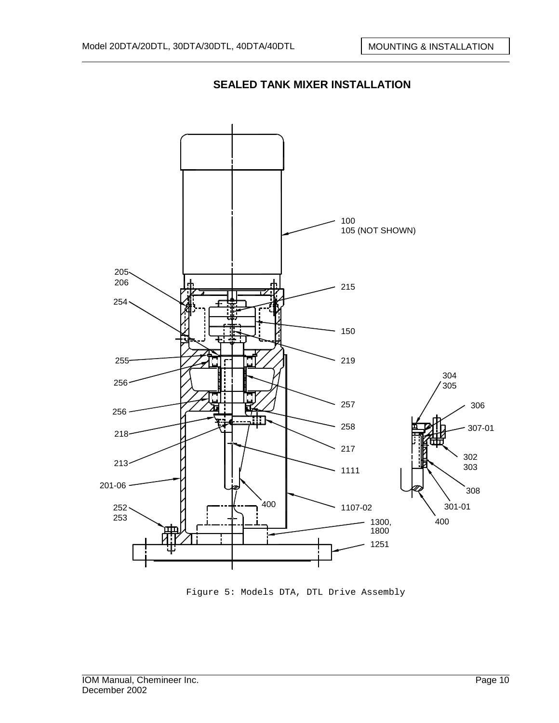

Figure 5: Models DTA, DTL Drive Assembly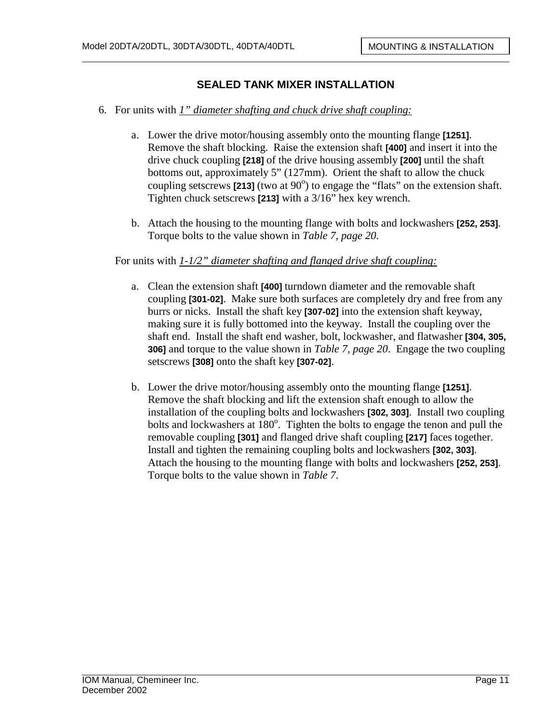- 6. For units with *1" diameter shafting and chuck drive shaft coupling:*
	- a. Lower the drive motor/housing assembly onto the mounting flange **[1251]**. Remove the shaft blocking. Raise the extension shaft **[400]** and insert it into the drive chuck coupling **[218]** of the drive housing assembly **[200]** until the shaft bottoms out, approximately 5" (127mm). Orient the shaft to allow the chuck coupling setscrews  $[213]$  (two at  $90^{\circ}$ ) to engage the "flats" on the extension shaft. Tighten chuck setscrews **[213]** with a 3/16" hex key wrench.
	- b. Attach the housing to the mounting flange with bolts and lockwashers **[252, 253]**. Torque bolts to the value shown in *Table 7, page 20*.

#### For units with *1-1/2" diameter shafting and flanged drive shaft coupling:*

- a. Clean the extension shaft **[400]** turndown diameter and the removable shaft coupling **[301-02]**. Make sure both surfaces are completely dry and free from any burrs or nicks. Install the shaft key **[307-02]** into the extension shaft keyway, making sure it is fully bottomed into the keyway. Install the coupling over the shaft end. Install the shaft end washer, bolt, lockwasher, and flatwasher **[304, 305, 306]** and torque to the value shown in *Table 7, page 20*. Engage the two coupling setscrews **[308]** onto the shaft key **[307-02]**.
- b. Lower the drive motor/housing assembly onto the mounting flange **[1251]**. Remove the shaft blocking and lift the extension shaft enough to allow the installation of the coupling bolts and lockwashers **[302, 303]**. Install two coupling bolts and lockwashers at 180°. Tighten the bolts to engage the tenon and pull the removable coupling **[301]** and flanged drive shaft coupling **[217]** faces together. Install and tighten the remaining coupling bolts and lockwashers **[302, 303]**. Attach the housing to the mounting flange with bolts and lockwashers **[252, 253]**. Torque bolts to the value shown in *Table 7*.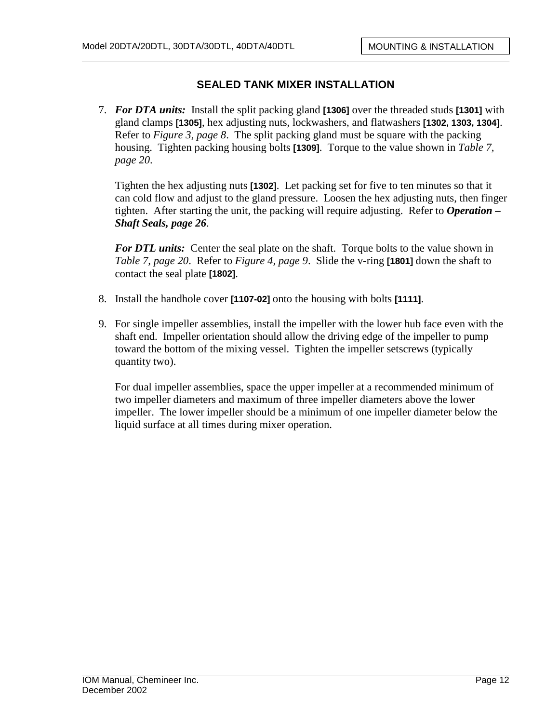7. *For DTA units:* Install the split packing gland **[1306]** over the threaded studs **[1301]** with gland clamps **[1305]**, hex adjusting nuts, lockwashers, and flatwashers **[1302, 1303, 1304]**. Refer to *Figure 3, page 8*. The split packing gland must be square with the packing housing. Tighten packing housing bolts **[1309]**. Torque to the value shown in *Table 7, page 20*.

Tighten the hex adjusting nuts **[1302]**. Let packing set for five to ten minutes so that it can cold flow and adjust to the gland pressure. Loosen the hex adjusting nuts, then finger tighten. After starting the unit, the packing will require adjusting. Refer to *Operation – Shaft Seals, page 26*.

*For DTL units:* Center the seal plate on the shaft. Torque bolts to the value shown in *Table 7, page 20*. Refer to *Figure 4, page 9*. Slide the v-ring **[1801]** down the shaft to contact the seal plate **[1802]**.

- 8. Install the handhole cover **[1107-02]** onto the housing with bolts **[1111]**.
- 9. For single impeller assemblies, install the impeller with the lower hub face even with the shaft end. Impeller orientation should allow the driving edge of the impeller to pump toward the bottom of the mixing vessel. Tighten the impeller setscrews (typically quantity two).

For dual impeller assemblies, space the upper impeller at a recommended minimum of two impeller diameters and maximum of three impeller diameters above the lower impeller. The lower impeller should be a minimum of one impeller diameter below the liquid surface at all times during mixer operation.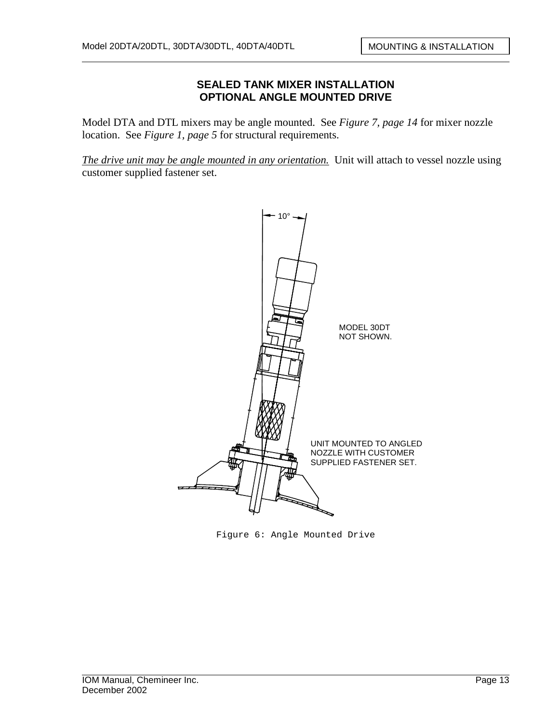#### **SEALED TANK MIXER INSTALLATION OPTIONAL ANGLE MOUNTED DRIVE**

Model DTA and DTL mixers may be angle mounted. See *Figure 7, page 14* for mixer nozzle location. See *Figure 1, page 5* for structural requirements.

*The drive unit may be angle mounted in any orientation.* Unit will attach to vessel nozzle using customer supplied fastener set.



Figure 6: Angle Mounted Drive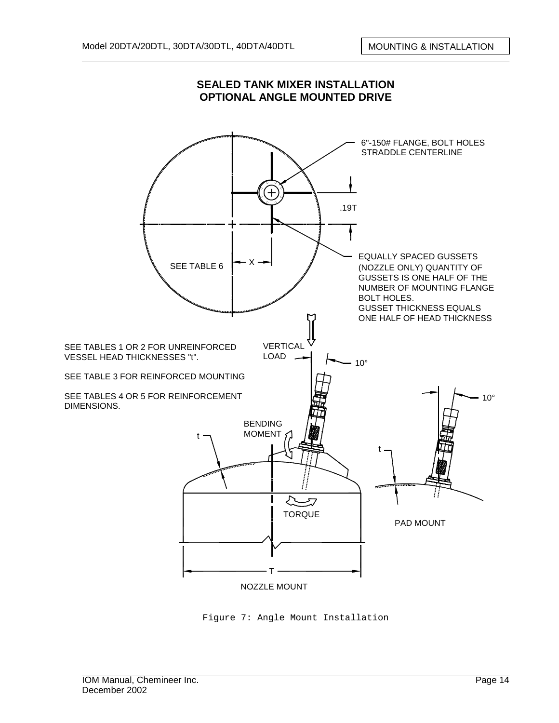

#### **SEALED TANK MIXER INSTALLATION OPTIONAL ANGLE MOUNTED DRIVE**

Figure 7: Angle Mount Installation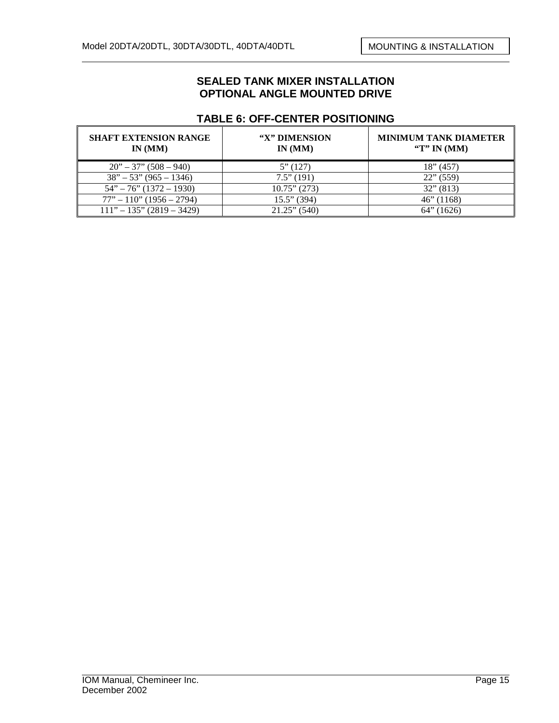#### **SEALED TANK MIXER INSTALLATION OPTIONAL ANGLE MOUNTED DRIVE**

| <b>SHAFT EXTENSION RANGE</b><br>IN(MM) | "X" DIMENSION<br>IN(MM) | <b>MINIMUM TANK DIAMETER</b><br>"T" IN $(MM)$ |
|----------------------------------------|-------------------------|-----------------------------------------------|
| $20" - 37" (508 - 940)$                | 5''(127)                | $18$ " (457)                                  |
| $38" - 53" (965 - 1346)$               | $7.5$ " (191)           | $22$ " (559)                                  |
| $54" - 76" (1372 - 1930)$              | $10.75$ " (273)         | $32$ " (813)                                  |
| $77" - 110"$ (1956 – 2794)             | $15.5$ " (394)          | $46$ " (1168)                                 |
| $111" - 135" (2819 - 3429)$            | $21.25$ " (540)         | (1626)<br>ו ''∂64                             |

#### **TABLE 6: OFF-CENTER POSITIONING**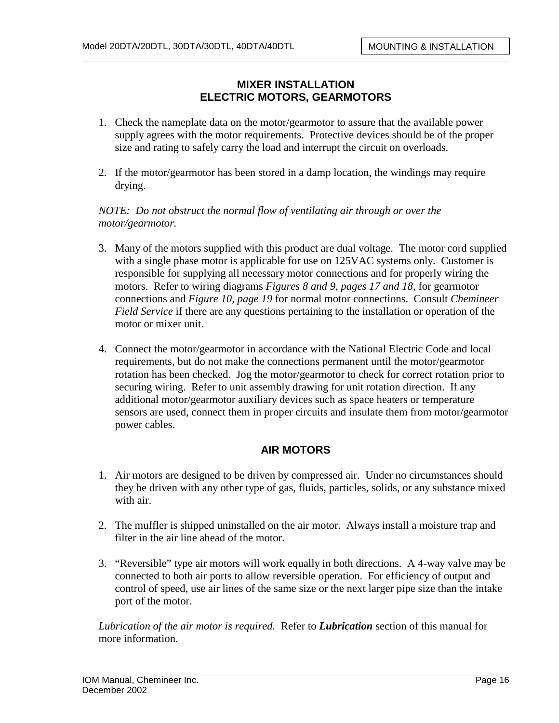## **MIXER INSTALLATION ELECTRIC MOTORS, GEARMOTORS**

- 1. Check the nameplate data on the motor/gearmotor to assure that the available power supply agrees with the motor requirements. Protective devices should be of the proper size and rating to safely carry the load and interrupt the circuit on overloads.
- 2. If the motor/gearmotor has been stored in a damp location, the windings may require drying.

*NOTE: Do not obstruct the normal flow of ventilating air through or over the motor/gearmotor.* 

- 3. Many of the motors supplied with this product are dual voltage. The motor cord supplied with a single phase motor is applicable for use on 125VAC systems only. Customer is responsible for supplying all necessary motor connections and for properly wiring the motors. Refer to wiring diagrams *Figures 8 and 9, pages 17 and 18*, for gearmotor connections and *Figure 10, page 19* for normal motor connections. Consult *Chemineer Field Service* if there are any questions pertaining to the installation or operation of the motor or mixer unit.
- 4. Connect the motor/gearmotor in accordance with the National Electric Code and local requirements, but do not make the connections permanent until the motor/gearmotor rotation has been checked. Jog the motor/gearmotor to check for correct rotation prior to securing wiring. Refer to unit assembly drawing for unit rotation direction. If any additional motor/gearmotor auxiliary devices such as space heaters or temperature sensors are used, connect them in proper circuits and insulate them from motor/gearmotor power cables.

#### **AIR MOTORS**

- 1. Air motors are designed to be driven by compressed air. Under no circumstances should they be driven with any other type of gas, fluids, particles, solids, or any substance mixed with air.
- 2. The muffler is shipped uninstalled on the air motor. Always install a moisture trap and filter in the air line ahead of the motor.
- 3. "Reversible" type air motors will work equally in both directions. A 4-way valve may be connected to both air ports to allow reversible operation. For efficiency of output and control of speed, use air lines of the same size or the next larger pipe size than the intake port of the motor.

*Lubrication of the air motor is required.* Refer to *Lubrication* section of this manual for more information.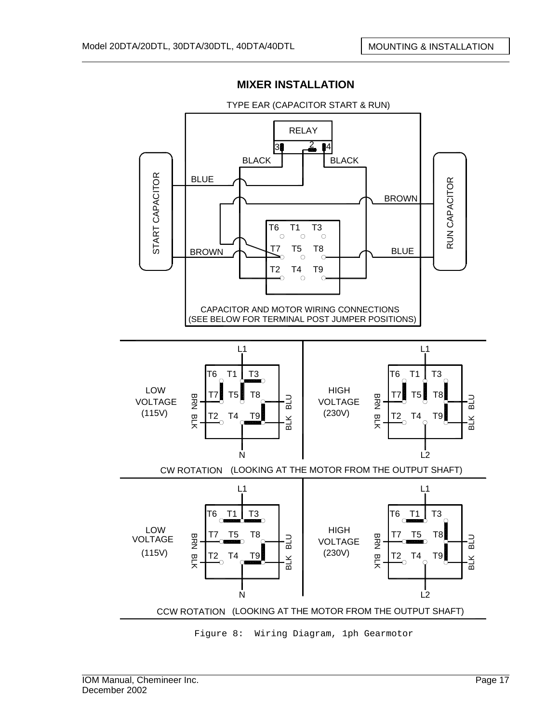



TYPE EAR (CAPACITOR START & RUN)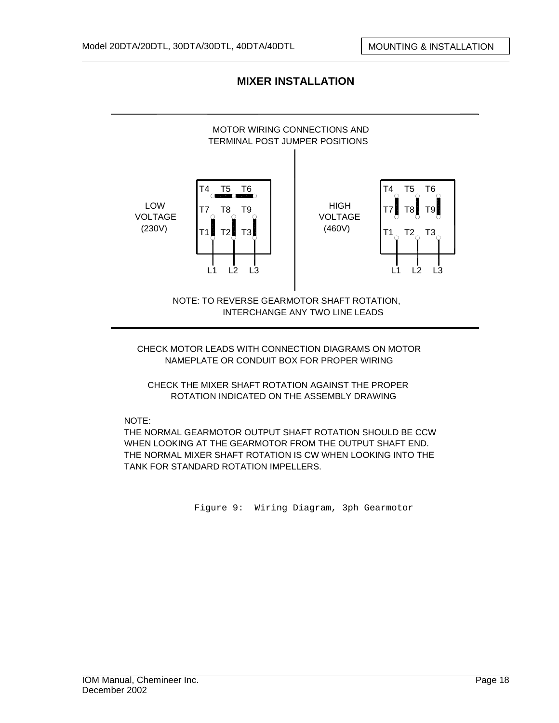# **MIXER INSTALLATION**



CHECK MOTOR LEADS WITH CONNECTION DIAGRAMS ON MOTOR NAMEPLATE OR CONDUIT BOX FOR PROPER WIRING

CHECK THE MIXER SHAFT ROTATION AGAINST THE PROPER ROTATION INDICATED ON THE ASSEMBLY DRAWING

NOTE:

THE NORMAL GEARMOTOR OUTPUT SHAFT ROTATION SHOULD BE CCW WHEN LOOKING AT THE GEARMOTOR FROM THE OUTPUT SHAFT END. THE NORMAL MIXER SHAFT ROTATION IS CW WHEN LOOKING INTO THE TANK FOR STANDARD ROTATION IMPELLERS.

Figure 9: Wiring Diagram, 3ph Gearmotor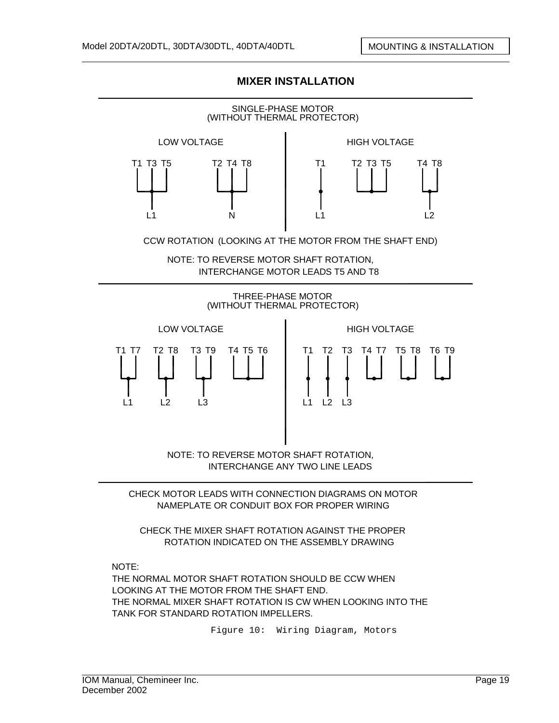

#### **MIXER INSTALLATION**

CHECK THE MIXER SHAFT ROTATION AGAINST THE PROPER ROTATION INDICATED ON THE ASSEMBLY DRAWING

NOTE:

THE NORMAL MOTOR SHAFT ROTATION SHOULD BE CCW WHEN LOOKING AT THE MOTOR FROM THE SHAFT END. THE NORMAL MIXER SHAFT ROTATION IS CW WHEN LOOKING INTO THE TANK FOR STANDARD ROTATION IMPELLERS.

Figure 10: Wiring Diagram, Motors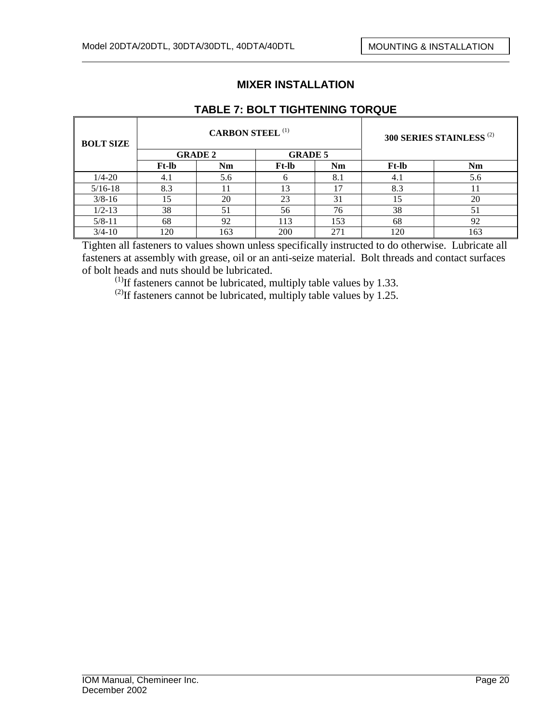# **MIXER INSTALLATION**

| <b>BOLT SIZE</b> |              | <b>CARBON STEEL (1)</b> |                | 300 SERIES STAINLESS <sup>(2)</sup> |              |     |  |
|------------------|--------------|-------------------------|----------------|-------------------------------------|--------------|-----|--|
|                  |              | <b>GRADE 2</b>          | <b>GRADE 5</b> |                                     |              |     |  |
|                  | <b>Ft-lb</b> | Nm                      | <b>Ft-lb</b>   | <b>Nm</b>                           | <b>Ft-lb</b> | Nm  |  |
| $1/4 - 20$       | 4.1          | 5.6                     | <sub>n</sub>   | 8.1                                 | 4.1          | 5.6 |  |
| $5/16-18$        | 8.3          | 1                       | 13             | 17                                  | 8.3          |     |  |
| $3/8 - 16$       | 15           | 20                      | 23             | 31                                  | 15           | 20  |  |
| $1/2 - 13$       | 38           | 51                      | 56             | 76                                  | 38           | 51  |  |
| $5/8 - 11$       | 68           | 92                      | 113            | 153                                 | 68           | 92  |  |
| $3/4 - 10$       | 120          | 163                     | 200            | 271                                 | 120          | 163 |  |

# **TABLE 7: BOLT TIGHTENING TORQUE**

Tighten all fasteners to values shown unless specifically instructed to do otherwise. Lubricate all fasteners at assembly with grease, oil or an anti-seize material. Bolt threads and contact surfaces of bolt heads and nuts should be lubricated.

 $^{(1)}$ If fasteners cannot be lubricated, multiply table values by 1.33.

<sup>(2)</sup>If fasteners cannot be lubricated, multiply table values by 1.25.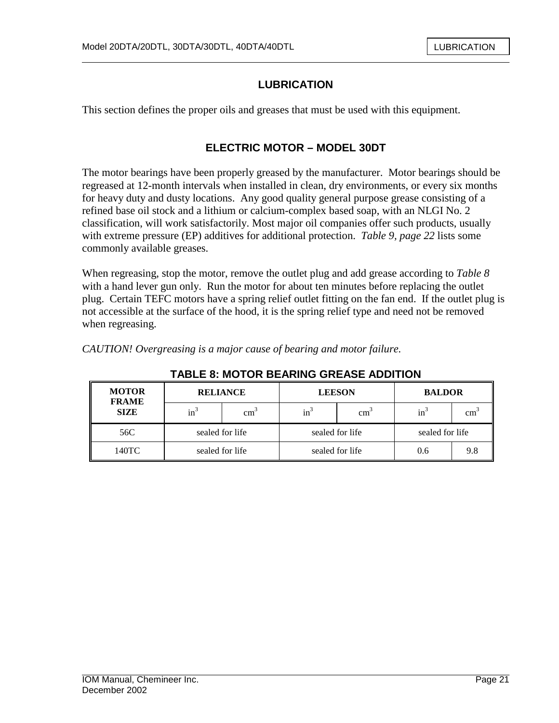# **LUBRICATION**

This section defines the proper oils and greases that must be used with this equipment.

### **ELECTRIC MOTOR – MODEL 30DT**

The motor bearings have been properly greased by the manufacturer. Motor bearings should be regreased at 12-month intervals when installed in clean, dry environments, or every six months for heavy duty and dusty locations. Any good quality general purpose grease consisting of a refined base oil stock and a lithium or calcium-complex based soap, with an NLGI No. 2 classification, will work satisfactorily. Most major oil companies offer such products, usually with extreme pressure (EP) additives for additional protection. *Table 9, page 22* lists some commonly available greases.

When regreasing, stop the motor, remove the outlet plug and add grease according to *Table 8*  with a hand lever gun only. Run the motor for about ten minutes before replacing the outlet plug. Certain TEFC motors have a spring relief outlet fitting on the fan end. If the outlet plug is not accessible at the surface of the hood, it is the spring relief type and need not be removed when regreasing.

**TABLE 8: MOTOR BEARING GREASE ADDITION** 

| TABLE 8: MOTOR BEARING GREASE ADDITION |                                    |               |                 |                 |                 |                 |  |  |  |  |
|----------------------------------------|------------------------------------|---------------|-----------------|-----------------|-----------------|-----------------|--|--|--|--|
| <b>MOTOR</b><br><b>FRAME</b>           | <b>RELIANCE</b>                    |               |                 | <b>LEESON</b>   | <b>BALDOR</b>   |                 |  |  |  |  |
| <b>SIZE</b>                            | $in^3$                             | $\text{cm}^2$ | $in^3$          | $\text{cm}^3$   | $in^3$          | cm <sup>3</sup> |  |  |  |  |
| 56C                                    | sealed for life<br>sealed for life |               |                 | sealed for life | sealed for life |                 |  |  |  |  |
| 140TC                                  |                                    |               | sealed for life |                 | 0.6             | 9.8             |  |  |  |  |

#### *CAUTION! Overgreasing is a major cause of bearing and motor failure.*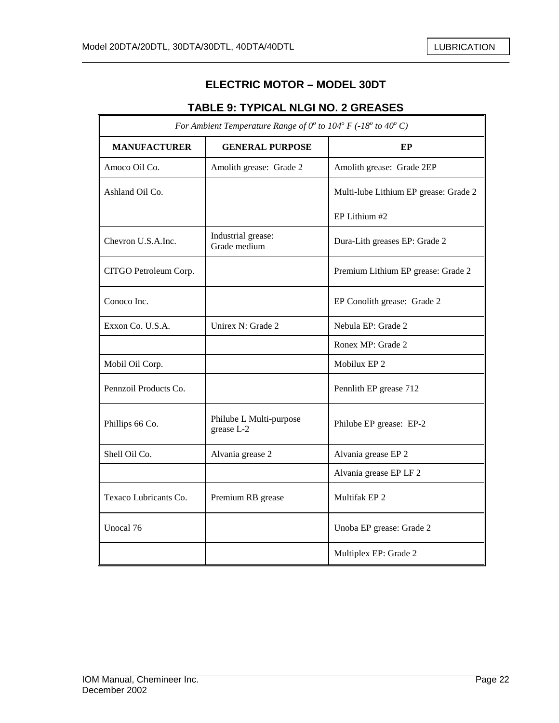$\mathbb{F}$ 

7

# **ELECTRIC MOTOR – MODEL 30DT**

# **TABLE 9: TYPICAL NLGI NO. 2 GREASES**

| For Ambient Temperature Range of $0^{\circ}$ to $104^{\circ}$ F (-18° to 40° C) |                                       |                                       |  |  |
|---------------------------------------------------------------------------------|---------------------------------------|---------------------------------------|--|--|
| <b>MANUFACTURER</b>                                                             | <b>GENERAL PURPOSE</b>                | EP                                    |  |  |
| Amoco Oil Co.                                                                   | Amolith grease: Grade 2               | Amolith grease: Grade 2EP             |  |  |
| Ashland Oil Co.                                                                 |                                       | Multi-lube Lithium EP grease: Grade 2 |  |  |
|                                                                                 |                                       | EP Lithium #2                         |  |  |
| Chevron U.S.A.Inc.                                                              | Industrial grease:<br>Grade medium    | Dura-Lith greases EP: Grade 2         |  |  |
| CITGO Petroleum Corp.                                                           |                                       | Premium Lithium EP grease: Grade 2    |  |  |
| Conoco Inc.                                                                     |                                       | EP Conolith grease: Grade 2           |  |  |
| Exxon Co. U.S.A.                                                                | Unirex N: Grade 2                     | Nebula EP: Grade 2                    |  |  |
|                                                                                 |                                       | Ronex MP: Grade 2                     |  |  |
| Mobil Oil Corp.                                                                 |                                       | Mobilux EP 2                          |  |  |
| Pennzoil Products Co.                                                           |                                       | Pennlith EP grease 712                |  |  |
| Phillips 66 Co.                                                                 | Philube L Multi-purpose<br>grease L-2 | Philube EP grease: EP-2               |  |  |
| Shell Oil Co.                                                                   | Alvania grease 2                      | Alvania grease EP 2                   |  |  |
|                                                                                 |                                       | Alvania grease EP LF 2                |  |  |
| Texaco Lubricants Co.                                                           | Premium RB grease                     | Multifak EP <sub>2</sub>              |  |  |
| Unocal 76                                                                       |                                       | Unoba EP grease: Grade 2              |  |  |
|                                                                                 |                                       | Multiplex EP: Grade 2                 |  |  |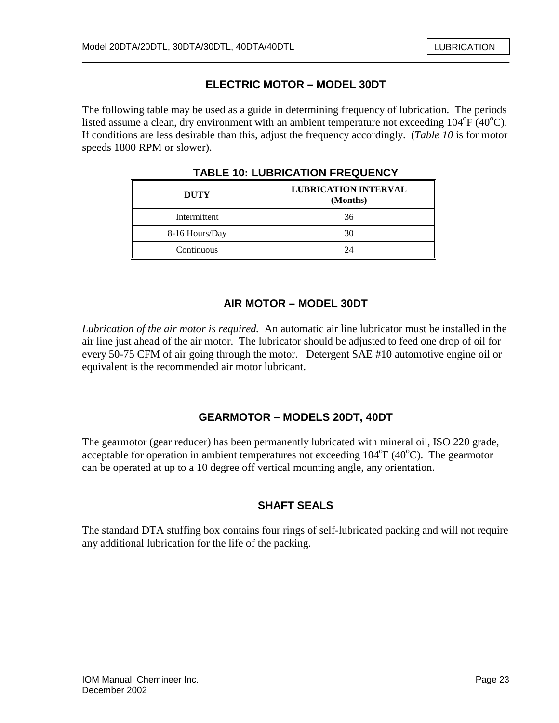# **ELECTRIC MOTOR – MODEL 30DT**

The following table may be used as a guide in determining frequency of lubrication. The periods listed assume a clean, dry environment with an ambient temperature not exceeding  $104^{\circ}F(40^{\circ}C)$ . If conditions are less desirable than this, adjust the frequency accordingly. (*Table 10* is for motor speeds 1800 RPM or slower).

| <b>DUTY</b>    | <b>LUBRICATION INTERVAL</b><br>(Months) |  |
|----------------|-----------------------------------------|--|
| Intermittent   | 36                                      |  |
| 8-16 Hours/Day | 30                                      |  |
| Continuous     | 24                                      |  |

**TABLE 10: LUBRICATION FREQUENCY** 

# **AIR MOTOR – MODEL 30DT**

*Lubrication of the air motor is required.* An automatic air line lubricator must be installed in the air line just ahead of the air motor. The lubricator should be adjusted to feed one drop of oil for every 50-75 CFM of air going through the motor. Detergent SAE #10 automotive engine oil or equivalent is the recommended air motor lubricant.

# **GEARMOTOR – MODELS 20DT, 40DT**

The gearmotor (gear reducer) has been permanently lubricated with mineral oil, ISO 220 grade, acceptable for operation in ambient temperatures not exceeding  $104^{\circ}F(40^{\circ}C)$ . The gearmotor can be operated at up to a 10 degree off vertical mounting angle, any orientation.

# **SHAFT SEALS**

The standard DTA stuffing box contains four rings of self-lubricated packing and will not require any additional lubrication for the life of the packing.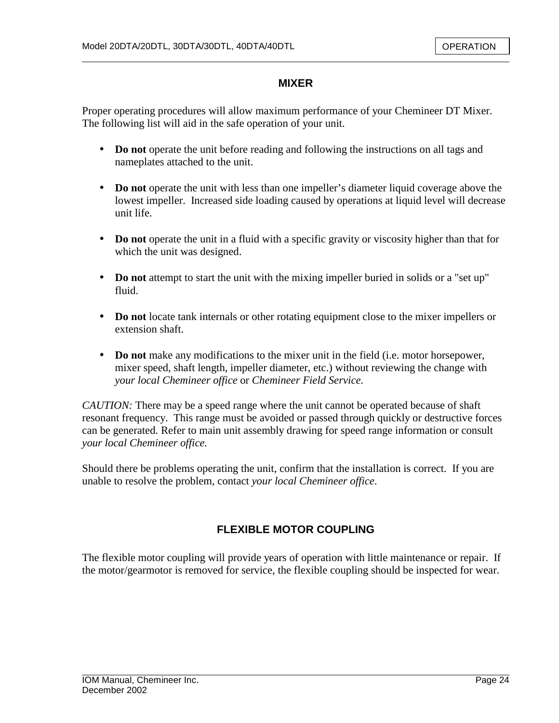#### **MIXER**

Proper operating procedures will allow maximum performance of your Chemineer DT Mixer. The following list will aid in the safe operation of your unit.

- **Do not** operate the unit before reading and following the instructions on all tags and nameplates attached to the unit.
- **Do not** operate the unit with less than one impeller's diameter liquid coverage above the lowest impeller. Increased side loading caused by operations at liquid level will decrease unit life.
- **Do not** operate the unit in a fluid with a specific gravity or viscosity higher than that for which the unit was designed.
- **Do not** attempt to start the unit with the mixing impeller buried in solids or a "set up" fluid.
- **Do not** locate tank internals or other rotating equipment close to the mixer impellers or extension shaft.
- **Do not** make any modifications to the mixer unit in the field (i.e. motor horsepower, mixer speed, shaft length, impeller diameter, etc.) without reviewing the change with *your local Chemineer office* or *Chemineer Field Service*.

*CAUTION:* There may be a speed range where the unit cannot be operated because of shaft resonant frequency. This range must be avoided or passed through quickly or destructive forces can be generated. Refer to main unit assembly drawing for speed range information or consult *your local Chemineer office.*

Should there be problems operating the unit, confirm that the installation is correct. If you are unable to resolve the problem, contact *your local Chemineer office*.

# **FLEXIBLE MOTOR COUPLING**

The flexible motor coupling will provide years of operation with little maintenance or repair. If the motor/gearmotor is removed for service, the flexible coupling should be inspected for wear.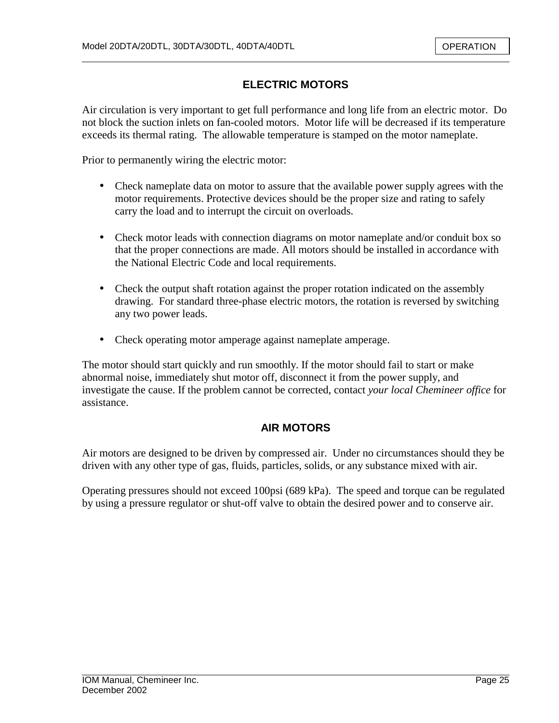# **ELECTRIC MOTORS**

Air circulation is very important to get full performance and long life from an electric motor. Do not block the suction inlets on fan-cooled motors. Motor life will be decreased if its temperature exceeds its thermal rating. The allowable temperature is stamped on the motor nameplate.

Prior to permanently wiring the electric motor:

- Check nameplate data on motor to assure that the available power supply agrees with the motor requirements. Protective devices should be the proper size and rating to safely carry the load and to interrupt the circuit on overloads.
- Check motor leads with connection diagrams on motor nameplate and/or conduit box so that the proper connections are made. All motors should be installed in accordance with the National Electric Code and local requirements.
- Check the output shaft rotation against the proper rotation indicated on the assembly drawing. For standard three-phase electric motors, the rotation is reversed by switching any two power leads.
- Check operating motor amperage against nameplate amperage.

The motor should start quickly and run smoothly. If the motor should fail to start or make abnormal noise, immediately shut motor off, disconnect it from the power supply, and investigate the cause. If the problem cannot be corrected, contact *your local Chemineer office* for assistance.

#### **AIR MOTORS**

Air motors are designed to be driven by compressed air. Under no circumstances should they be driven with any other type of gas, fluids, particles, solids, or any substance mixed with air.

Operating pressures should not exceed 100psi (689 kPa). The speed and torque can be regulated by using a pressure regulator or shut-off valve to obtain the desired power and to conserve air.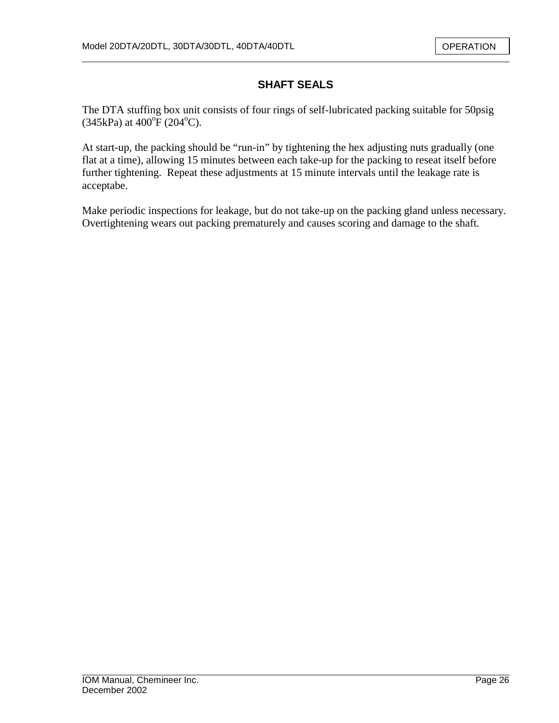# **SHAFT SEALS**

The DTA stuffing box unit consists of four rings of self-lubricated packing suitable for 50psig  $(345 \text{kPa})$  at  $400^{\circ}$ F  $(204^{\circ}$ C).

At start-up, the packing should be "run-in" by tightening the hex adjusting nuts gradually (one flat at a time), allowing 15 minutes between each take-up for the packing to reseat itself before further tightening. Repeat these adjustments at 15 minute intervals until the leakage rate is acceptabe.

Make periodic inspections for leakage, but do not take-up on the packing gland unless necessary. Overtightening wears out packing prematurely and causes scoring and damage to the shaft.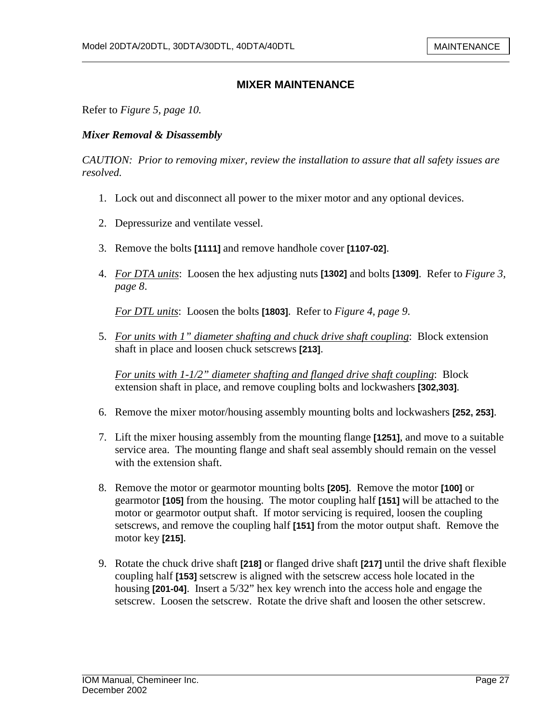Refer to *Figure 5, page 10.*

#### *Mixer Removal & Disassembly*

*CAUTION: Prior to removing mixer, review the installation to assure that all safety issues are resolved.* 

- 1. Lock out and disconnect all power to the mixer motor and any optional devices.
- 2. Depressurize and ventilate vessel.
- 3. Remove the bolts **[1111]** and remove handhole cover **[1107-02]**.
- 4. *For DTA units*: Loosen the hex adjusting nuts **[1302]** and bolts **[1309]**. Refer to *Figure 3, page 8*.

*For DTL units*: Loosen the bolts **[1803]**. Refer to *Figure 4, page 9*.

5. *For units with 1" diameter shafting and chuck drive shaft coupling*: Block extension shaft in place and loosen chuck setscrews **[213]**.

*For units with 1-1/2" diameter shafting and flanged drive shaft coupling*: Block extension shaft in place, and remove coupling bolts and lockwashers **[302,303]**.

- 6. Remove the mixer motor/housing assembly mounting bolts and lockwashers **[252, 253]**.
- 7. Lift the mixer housing assembly from the mounting flange **[1251]**, and move to a suitable service area. The mounting flange and shaft seal assembly should remain on the vessel with the extension shaft.
- 8. Remove the motor or gearmotor mounting bolts **[205]**. Remove the motor **[100]** or gearmotor **[105]** from the housing. The motor coupling half **[151]** will be attached to the motor or gearmotor output shaft. If motor servicing is required, loosen the coupling setscrews, and remove the coupling half **[151]** from the motor output shaft. Remove the motor key **[215]**.
- 9. Rotate the chuck drive shaft **[218]** or flanged drive shaft **[217]** until the drive shaft flexible coupling half **[153]** setscrew is aligned with the setscrew access hole located in the housing **[201-04]**. Insert a 5/32" hex key wrench into the access hole and engage the setscrew. Loosen the setscrew. Rotate the drive shaft and loosen the other setscrew.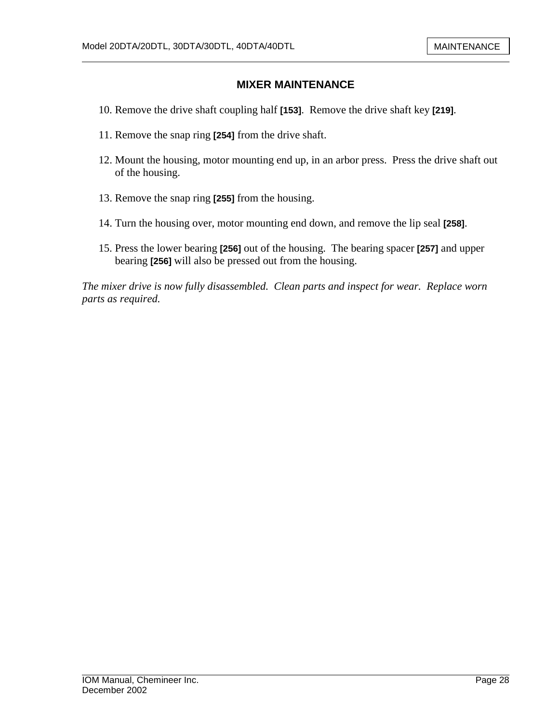- 10. Remove the drive shaft coupling half **[153]**. Remove the drive shaft key **[219]**.
- 11. Remove the snap ring **[254]** from the drive shaft.
- 12. Mount the housing, motor mounting end up, in an arbor press. Press the drive shaft out of the housing.
- 13. Remove the snap ring **[255]** from the housing.
- 14. Turn the housing over, motor mounting end down, and remove the lip seal **[258]**.
- 15. Press the lower bearing **[256]** out of the housing. The bearing spacer **[257]** and upper bearing **[256]** will also be pressed out from the housing.

*The mixer drive is now fully disassembled. Clean parts and inspect for wear. Replace worn parts as required.*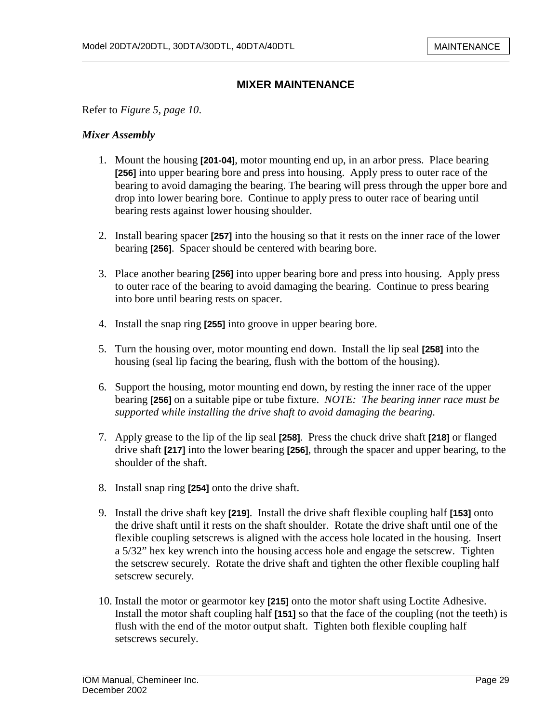Refer to *Figure 5, page 10*.

#### *Mixer Assembly*

- 1. Mount the housing **[201-04]**, motor mounting end up, in an arbor press. Place bearing **[256]** into upper bearing bore and press into housing. Apply press to outer race of the bearing to avoid damaging the bearing. The bearing will press through the upper bore and drop into lower bearing bore. Continue to apply press to outer race of bearing until bearing rests against lower housing shoulder.
- 2. Install bearing spacer **[257]** into the housing so that it rests on the inner race of the lower bearing **[256]**. Spacer should be centered with bearing bore.
- 3. Place another bearing **[256]** into upper bearing bore and press into housing. Apply press to outer race of the bearing to avoid damaging the bearing. Continue to press bearing into bore until bearing rests on spacer.
- 4. Install the snap ring **[255]** into groove in upper bearing bore.
- 5. Turn the housing over, motor mounting end down. Install the lip seal **[258]** into the housing (seal lip facing the bearing, flush with the bottom of the housing).
- 6. Support the housing, motor mounting end down, by resting the inner race of the upper bearing **[256]** on a suitable pipe or tube fixture. *NOTE: The bearing inner race must be supported while installing the drive shaft to avoid damaging the bearing.*
- 7. Apply grease to the lip of the lip seal **[258]**. Press the chuck drive shaft **[218]** or flanged drive shaft **[217]** into the lower bearing **[256]**, through the spacer and upper bearing, to the shoulder of the shaft.
- 8. Install snap ring **[254]** onto the drive shaft.
- 9. Install the drive shaft key **[219]**. Install the drive shaft flexible coupling half **[153]** onto the drive shaft until it rests on the shaft shoulder. Rotate the drive shaft until one of the flexible coupling setscrews is aligned with the access hole located in the housing. Insert a 5/32" hex key wrench into the housing access hole and engage the setscrew. Tighten the setscrew securely. Rotate the drive shaft and tighten the other flexible coupling half setscrew securely.
- 10. Install the motor or gearmotor key **[215]** onto the motor shaft using Loctite Adhesive. Install the motor shaft coupling half **[151]** so that the face of the coupling (not the teeth) is flush with the end of the motor output shaft. Tighten both flexible coupling half setscrews securely.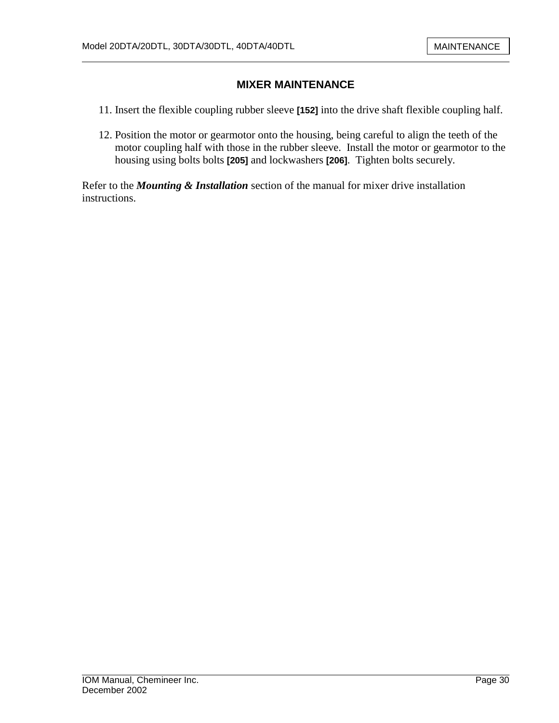- 11. Insert the flexible coupling rubber sleeve **[152]** into the drive shaft flexible coupling half.
- 12. Position the motor or gearmotor onto the housing, being careful to align the teeth of the motor coupling half with those in the rubber sleeve. Install the motor or gearmotor to the housing using bolts bolts **[205]** and lockwashers **[206]**. Tighten bolts securely.

Refer to the *Mounting & Installation* section of the manual for mixer drive installation instructions.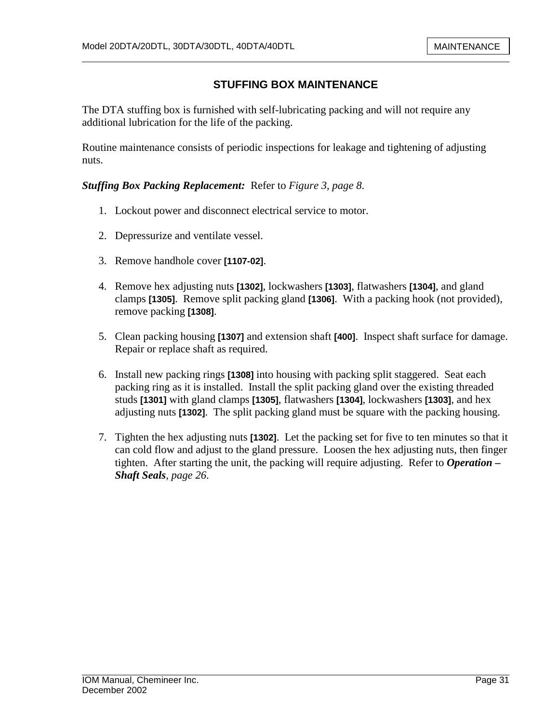# **STUFFING BOX MAINTENANCE**

The DTA stuffing box is furnished with self-lubricating packing and will not require any additional lubrication for the life of the packing.

Routine maintenance consists of periodic inspections for leakage and tightening of adjusting nuts.

#### *Stuffing Box Packing Replacement:* Refer to *Figure 3, page 8*.

- 1. Lockout power and disconnect electrical service to motor.
- 2. Depressurize and ventilate vessel.
- 3. Remove handhole cover **[1107-02]**.
- 4. Remove hex adjusting nuts **[1302]**, lockwashers **[1303]**, flatwashers **[1304]**, and gland clamps **[1305]**. Remove split packing gland **[1306]**. With a packing hook (not provided), remove packing **[1308]**.
- 5. Clean packing housing **[1307]** and extension shaft **[400]**. Inspect shaft surface for damage. Repair or replace shaft as required.
- 6. Install new packing rings **[1308]** into housing with packing split staggered. Seat each packing ring as it is installed. Install the split packing gland over the existing threaded studs **[1301]** with gland clamps **[1305]**, flatwashers **[1304]**, lockwashers **[1303]**, and hex adjusting nuts **[1302]**. The split packing gland must be square with the packing housing.
- 7. Tighten the hex adjusting nuts **[1302]**. Let the packing set for five to ten minutes so that it can cold flow and adjust to the gland pressure. Loosen the hex adjusting nuts, then finger tighten. After starting the unit, the packing will require adjusting. Refer to *Operation – Shaft Seals, page 26*.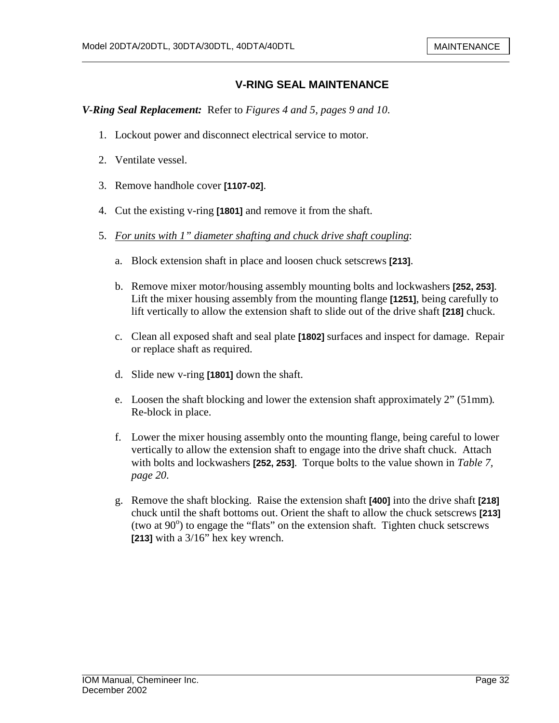### **V-RING SEAL MAINTENANCE**

*V-Ring Seal Replacement:* Refer to *Figures 4 and 5, pages 9 and 10*.

- 1. Lockout power and disconnect electrical service to motor.
- 2. Ventilate vessel.
- 3. Remove handhole cover **[1107-02]**.
- 4. Cut the existing v-ring **[1801]** and remove it from the shaft.
- 5. *For units with 1" diameter shafting and chuck drive shaft coupling*:
	- a. Block extension shaft in place and loosen chuck setscrews **[213]**.
	- b. Remove mixer motor/housing assembly mounting bolts and lockwashers **[252, 253]**. Lift the mixer housing assembly from the mounting flange **[1251]**, being carefully to lift vertically to allow the extension shaft to slide out of the drive shaft **[218]** chuck.
	- c. Clean all exposed shaft and seal plate **[1802]** surfaces and inspect for damage. Repair or replace shaft as required.
	- d. Slide new v-ring **[1801]** down the shaft.
	- e. Loosen the shaft blocking and lower the extension shaft approximately 2" (51mm)*.* Re-block in place.
	- f. Lower the mixer housing assembly onto the mounting flange, being careful to lower vertically to allow the extension shaft to engage into the drive shaft chuck. Attach with bolts and lockwashers **[252, 253]**. Torque bolts to the value shown in *Table 7, page 20*.
	- g. Remove the shaft blocking. Raise the extension shaft **[400]** into the drive shaft **[218]**  chuck until the shaft bottoms out. Orient the shaft to allow the chuck setscrews **[213]**  (two at  $90^\circ$ ) to engage the "flats" on the extension shaft. Tighten chuck setscrews **[213]** with a 3/16" hex key wrench.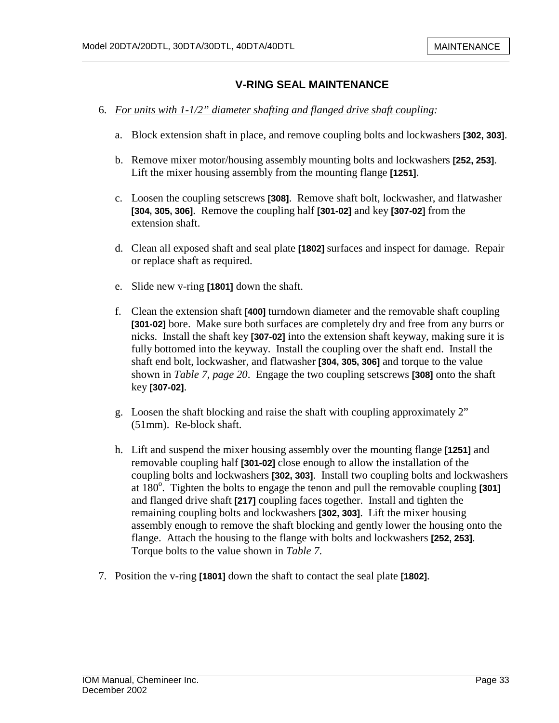#### **V-RING SEAL MAINTENANCE**

- 6. *For units with 1-1/2" diameter shafting and flanged drive shaft coupling:* 
	- a. Block extension shaft in place, and remove coupling bolts and lockwashers **[302, 303]**.
	- b. Remove mixer motor/housing assembly mounting bolts and lockwashers **[252, 253]**. Lift the mixer housing assembly from the mounting flange **[1251]**.
	- c. Loosen the coupling setscrews **[308]**. Remove shaft bolt, lockwasher, and flatwasher **[304, 305, 306]**. Remove the coupling half **[301-02]** and key **[307-02]** from the extension shaft.
	- d. Clean all exposed shaft and seal plate **[1802]** surfaces and inspect for damage. Repair or replace shaft as required.
	- e. Slide new v-ring **[1801]** down the shaft.
	- f. Clean the extension shaft **[400]** turndown diameter and the removable shaft coupling **[301-02]** bore. Make sure both surfaces are completely dry and free from any burrs or nicks. Install the shaft key **[307-02]** into the extension shaft keyway, making sure it is fully bottomed into the keyway. Install the coupling over the shaft end. Install the shaft end bolt, lockwasher, and flatwasher **[304, 305, 306]** and torque to the value shown in *Table 7, page 20*. Engage the two coupling setscrews **[308]** onto the shaft key **[307-02]**.
	- g. Loosen the shaft blocking and raise the shaft with coupling approximately 2" (51mm). Re-block shaft.
	- h. Lift and suspend the mixer housing assembly over the mounting flange **[1251]** and removable coupling half **[301-02]** close enough to allow the installation of the coupling bolts and lockwashers **[302, 303]**. Install two coupling bolts and lockwashers at 180<sup>°</sup>. Tighten the bolts to engage the tenon and pull the removable coupling [301] and flanged drive shaft **[217]** coupling faces together. Install and tighten the remaining coupling bolts and lockwashers **[302, 303]**. Lift the mixer housing assembly enough to remove the shaft blocking and gently lower the housing onto the flange. Attach the housing to the flange with bolts and lockwashers **[252, 253]**. Torque bolts to the value shown in *Table 7*.
- 7. Position the v-ring **[1801]** down the shaft to contact the seal plate **[1802]**.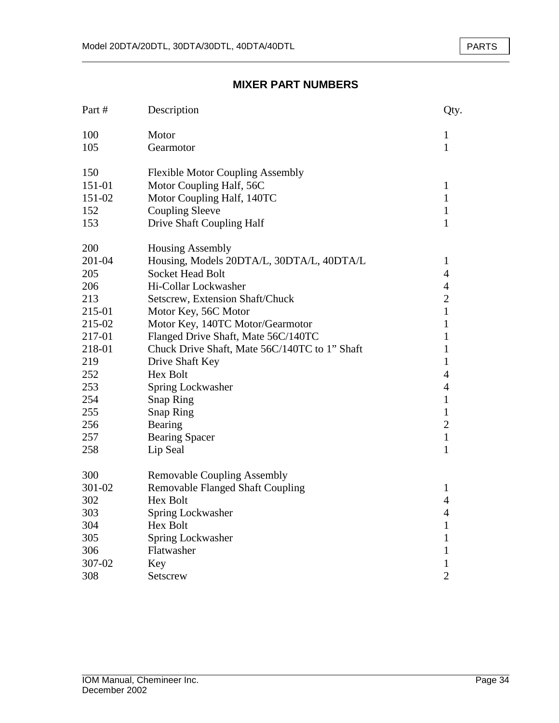#### PARTS

# **MIXER PART NUMBERS**

| Part#  | Description                                   | Qty.           |
|--------|-----------------------------------------------|----------------|
| 100    | Motor                                         | $\mathbf{1}$   |
| 105    | Gearmotor                                     | 1              |
| 150    | <b>Flexible Motor Coupling Assembly</b>       |                |
| 151-01 | Motor Coupling Half, 56C                      | $\mathbf{1}$   |
| 151-02 | Motor Coupling Half, 140TC                    | $\mathbf{1}$   |
| 152    | <b>Coupling Sleeve</b>                        | 1              |
| 153    | Drive Shaft Coupling Half                     | 1              |
| 200    | <b>Housing Assembly</b>                       |                |
| 201-04 | Housing, Models 20DTA/L, 30DTA/L, 40DTA/L     | $\mathbf{1}$   |
| 205    | <b>Socket Head Bolt</b>                       | $\overline{4}$ |
| 206    | Hi-Collar Lockwasher                          | $\overline{4}$ |
| 213    | Setscrew, Extension Shaft/Chuck               | $\overline{c}$ |
| 215-01 | Motor Key, 56C Motor                          | $\mathbf{1}$   |
| 215-02 | Motor Key, 140TC Motor/Gearmotor              | $\mathbf{1}$   |
| 217-01 | Flanged Drive Shaft, Mate 56C/140TC           | 1              |
| 218-01 | Chuck Drive Shaft, Mate 56C/140TC to 1" Shaft | 1              |
| 219    | Drive Shaft Key                               | $\mathbf{1}$   |
| 252    | Hex Bolt                                      | $\overline{4}$ |
| 253    | Spring Lockwasher                             | $\overline{4}$ |
| 254    | <b>Snap Ring</b>                              | $\mathbf{1}$   |
| 255    | <b>Snap Ring</b>                              | $\mathbf{1}$   |
| 256    | Bearing                                       | $\overline{2}$ |
| 257    | <b>Bearing Spacer</b>                         | $\mathbf{1}$   |
| 258    | Lip Seal                                      | $\mathbf{1}$   |
| 300    | <b>Removable Coupling Assembly</b>            |                |
| 301-02 | <b>Removable Flanged Shaft Coupling</b>       | $\mathbf{1}$   |
| 302    | Hex Bolt                                      | $\overline{4}$ |
| 303    | Spring Lockwasher                             | $\overline{4}$ |
| 304    | Hex Bolt                                      | $\mathbf{1}$   |
| 305    | Spring Lockwasher                             | 1              |
| 306    | Flatwasher                                    | 1              |
| 307-02 | Key                                           | $\mathbf{1}$   |
| 308    | Setscrew                                      | $\overline{2}$ |